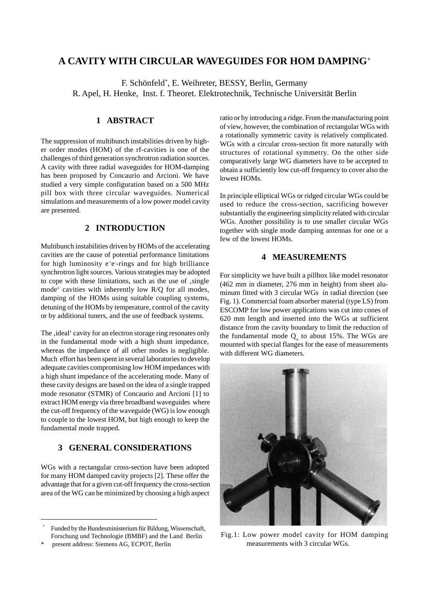# **A CAVITY WITH CIRCULAR WAVEGUIDES FOR HOM DAMPING+**

F. Schönfeld\* , E. Weihreter, BESSY, Berlin, Germany R. Apel, H. Henke, Inst. f. Theoret. Elektrotechnik, Technische Universität Berlin

## **1 ABSTRACT**

The suppression of multibunch instabilities driven by higher order modes (HOM) of the rf-cavities is one of the challenges of third generation synchrotron radiation sources. A cavity with three radial waveguides for HOM-damping has been proposed by Concaurio and Arcioni. We have studied a very simple configuration based on a 500 MHz pill box with three circular waveguides. Numerical simulations and measurements of a low power model cavity are presented.

### **2 INTRODUCTION**

Multibunch instabilities driven by HOMs of the accelerating cavities are the cause of potential performance limitations for high luminosity e<sup>+</sup>e-rings and for high brilliance synchrotron light sources. Various strategies may be adopted to cope with these limitations, such as the use of  $\mathbf{S}$ , single mode' cavities with inherently low R/Q for all modes, damping of the HOMs using suitable coupling systems, detuning of the HOMs by temperature, control of the cavity or by additional tuners, and the use of feedback systems.

The , ideal 'cavity for an electron storage ring resonates only in the fundamental mode with a high shunt impedance, whereas the impedance of all other modes is negligible. Much effort has been spent in several laboratories to develop adequate cavities compromising low HOM impedances with a high shunt impedance of the accelerating mode. Many of these cavity designs are based on the idea of a single trapped mode resonator (STMR) of Concaurio and Arcioni [1] to extract HOM energy via three broadband waveguides where the cut-off frequency of the waveguide (WG) is low enough to couple to the lowest HOM, but high enough to keep the fundamental mode trapped.

## **3 GENERAL CONSIDERATIONS**

WGs with a rectangular cross-section have been adopted for many HOM damped cavity projects [2]. These offer the advantage that for a given cut-off frequency the cross-section area of the WG can be minimized by choosing a high aspect

present address: Siemens AG, ECPOT, Berlin

ratio or by introducing a ridge. From the manufacturing point of view, however, the combination of rectangular WGs with a rotationally symmetric cavity is relatively complicated. WGs with a circular cross-section fit more naturally with structures of rotational symmetry. On the other side comparatively large WG diameters have to be accepted to obtain a sufficiently low cut-off frequency to cover also the lowest HOMs.

In principle elliptical WGs or ridged circular WGs could be used to reduce the cross-section, sacrificing however substantially the engineering simplicity related with circular WGs. Another possibility is to use smaller circular WGs together with single mode damping antennas for one or a few of the lowest HOMs.

### **4 MEASUREMENTS**

For simplicity we have built a pillbox like model resonator (462 mm in diameter, 276 mm in height) from sheet aluminum fitted with 3 circular WGs in radial direction (see Fig. 1). Commercial foam absorber material (type LS) from ESCOMP for low power applications was cut into cones of 620 mm length and inserted into the WGs at sufficient distance from the cavity boundary to limit the reduction of the fundamental mode  $Q_0$  to about 15%. The WGs are mounted with special flanges for the ease of measurements with different WG diameters.



Fig.1: Low power model cavity for HOM damping measurements with 3 circular WGs.

<sup>+</sup> Funded by the Bundesministerium für Bildung, Wissenschaft, Forschung und Technologie (BMBF) and the Land Berlin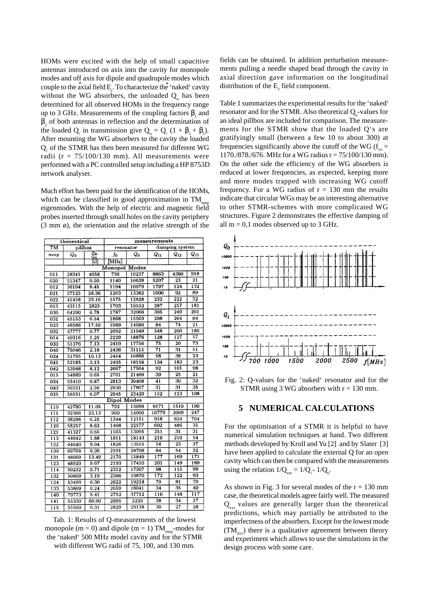HOMs were excited with the help of small capacitive antennas introduced on axis into the cavity for monopole modes and off axis for dipole and quadrupole modes which couple to the axial field  $E_z$ . To characterize the 'naked' cavity without the WG absorbers, the unloaded  $Q_0$  has been determined for all observed HOMs in the frequency range up to 3 GHz. Measurements of the coupling factors  $\beta_1$  and  $\beta_2$  of both antennas in reflection and the determination of the loaded Q<sub> $_{\ell}$ </sub> in transmission give Q<sub>0</sub> = Q<sub> $_{\ell}$ </sub> (1 +  $\beta_1$  +  $\beta_2$ ). After mounting the WG absorbers to the cavity the loaded  $Q$ <sub> $\ell$ </sub> of the STMR has then been measured for different WG radii ( $r = 75/100/130$  mm). All measurements were performed with a PC controlled setup including a HP 8753D network analyser.

Much effort has been paid for the identification of the HOMs, which can be classified in good approximation in TM eigenmodes. With the help of electric and magnetic field probes inserted through small holes on the cavity periphery (3 mm ø), the orientation and the relative strength of the

| theoretical            |         |                 | measurements |       |                 |                                        |                            |
|------------------------|---------|-----------------|--------------|-------|-----------------|----------------------------------------|----------------------------|
| $\overline{\text{TM}}$ | pillbox |                 | resonator    |       | damping system  |                                        |                            |
| mnp                    | Q0      | $\frac{R}{Q_0}$ | fo           | Q0    | $Q_{l1}$        | $Q_{12}$                               | Q <sub>13</sub>            |
|                        |         |                 | MHz          |       |                 |                                        |                            |
| Monopol Modes          |         |                 |              |       |                 |                                        |                            |
| 011                    | 28341   | 4058            | 736          | 10237 | 8863            | 4380                                   | 918                        |
| 020                    | 51347   | 0.50            | 1140         | 16639 | 5207            | 23                                     | 21                         |
| 012                    | 36104   | 8.45            | 1194         | 10979 | 1797            | $\overline{124}$                       | 132                        |
| 021                    | 37125   | 28.36           | 1263         | 13382 | 1000            | 92                                     | 89                         |
| 022                    | 41458   | 29.16           | 1575         | 12828 | 232             | $\overline{2}\overline{2}\overline{2}$ | $\overline{3}\overline{2}$ |
| 013                    | 43115   | 2825            | 1703         | 19553 | 287             | 257                                    | 181                        |
| 030                    | 64290   | 6.78            | 1787         | 32066 | 305             | 249                                    | 201                        |
| 031                    | 45153   | 6.54            | 1868         | 15503 | 298             | 264                                    | 84                         |
| 023                    | 46586   | 17.59           | 1989         | 14680 | 84              | $\overline{74}$                        | $\overline{21}$            |
| 032                    | 47777   | 0.77            | 2092         | 21049 | 248             | $\overline{200}$                       | 180                        |
| 014                    | 49316   | 1.25            | 2229         | 18876 | 128             | 127                                    | $\overline{57}$            |
| 033                    | 51376   | 7.13            | 2419         | 17756 | 75              | 20                                     | 73                         |
| 040                    | 75046   | 2.18            | 2436         | 31115 | $\overline{71}$ | $\overline{31}$                        | 51                         |
| 024                    | 51795   | 10.12           | 2454         | 16886 | 58              | 38                                     | 23                         |
| 041                    | 52185   | 3.13            | 2495         | 18158 | 134             | 183                                    | 23                         |
| 042                    | 53948   | 8.12            | 2667         | 17504 | 92              | 101                                    | 98                         |
| 015                    | 54889   | 0.65            | 2761         | 21466 | 39              | 25                                     | $\overline{21}$            |
| 034                    | 55410   | 9.87            | 2813         | 30408 | 41              | $\overline{30}$                        | $\overline{32}$            |
| 043                    | 56551   | 2.56            | 2930         | 17807 | $\overline{31}$ | 31                                     | 35                         |
| 025                    | 56551   | 6.07            | 2945         | 23420 | 152             | $\overline{123}$                       | 108                        |
| Dipol Modes            |         |                 |              |       |                 |                                        |                            |
| 110                    | 42780   | 11.05           | 792          | 13699 | 9171            | 1510                                   | 190                        |
| 111                    | 32366   | 23.13           | 960          | 14006 | 10779           | 2069                                   | 247                        |
| 112                    | 38298   | 6.25            | 1344         | 12151 | 918             | 624                                    | 764                        |
| 120                    | 58257   | 8.63            | 1468         | 22577 | 602             | 486                                    | 35                         |
| 121                    | 41327   | 0.65            | 1565         | 13095 | 251             | $\overline{31}$                        | 31                         |
| 113                    | 44642   | 1.88            | 1811         | 18143 | 219             | 210                                    | $\overline{54}$            |
| 122                    | 44640   | 9.94            | 1826         | 13555 | 54              | 23                                     | 37                         |
| 130                    | 69708   | 0.30            | 2101         | 28706 | 84              | $\overline{54}$                        | $\overline{3}\overline{2}$ |
| 131                    | 48669   | 13.49           | 2170         | 15849 | 177             | 169                                    | 171                        |
| 123                    | 48920   | 9.67            | 2193         | 17410 | 201             | 149                                    | 189                        |
| 114                    | 50232   | 0.71            | 2312         | 17307 | 98              | 115                                    | 99                         |
| 132                    | 50809   | 3.19            | 2366         | 19870 | 172             | $\overline{122}$                       | 93                         |
| 124                    | 53490   | 6.30            | 2622         | 19218 | 79              | 81                                     | 70                         |
| 133                    | 53869   | 0.24            | 2659         | 18041 | 34              | 35                                     | 40                         |
| 140                    | 79773   | 5.41            | 2752         | 37712 | 110             | 148                                    | $\overline{117}$           |
| 141                    | 55330   | 69.00           | 2805         | 2220  | 38              | 34                                     | 27                         |
| 115                    | 55560   | 0.31            | 2829         | 29138 | 30              | $\overline{27}$                        | 28                         |

Tab. 1: Results of Q-measurements of the lowest monopole (m = 0) and dipole (m = 1)  $TM_{\text{mnp}}$ -modes for the 'naked' 500 MHz model cavity and for the STMR with different WG radii of 75, 100, and 130 mm.

fields can be obtained. In addition perturbation measurements pulling a needle shaped bead through the cavity in axial direction gave information on the longitudinal distribution of the  $E_z$  field component.

Table 1 summarizes the experimental results for the 'naked' resonator and for the STMR. Also theoretical  $Q_0$ -values for an ideal pillbox are included for comparison. The measurements for the STMR show that the loaded Q's are gratifyingly small (between a few 10 to about 300) at frequencies significantly above the cutoff of the WG ( $f_{\infty}$  = 1170./878./676. MHz for a WG radius r = 75/100/130 mm). On the other side the efficiency of the WG absorbers is reduced at lower frequencies, as expected, keeping more and more modes trapped with increasing WG cutoff frequency. For a WG radius of  $r = 130$  mm the results indicate that circular WGs may be an interesting alternative to other STMR-schemes with more complicated WG structures. Figure 2 demonstrates the effective damping of all  $m = 0,1$  modes observed up to 3 GHz.



Fig. 2: Q-values for the 'naked' resonator and for the STMR using 3 WG absorbers with  $r = 130$  mm.

#### **5 NUMERICAL CALCULATIONS**

For the optimisation of a STMR it is helpful to have numerical simulation techniques at hand. Two different methods developed by Kroll and Yu [2] and by Slater [3] have been applied to calculate the external Q for an open cavity which can then be compared with the measurements using the relation  $1/Q_{ext} = 1/Q_{\ell}$ -  $1/Q_o$ .

As shown in Fig. 3 for several modes of the  $r = 130$  mm case, the theoretical models agree fairly well. The measured  $Q_{ext}$  values are generally larger than the theoretical predictions, which may partially be attributed to the imperfectness of the absorbers. Except for the lowest mode  $(TM<sub>011</sub>)$  there is a qualitative agreement between theory and experiment which allows to use the simulations in the design process with some care.